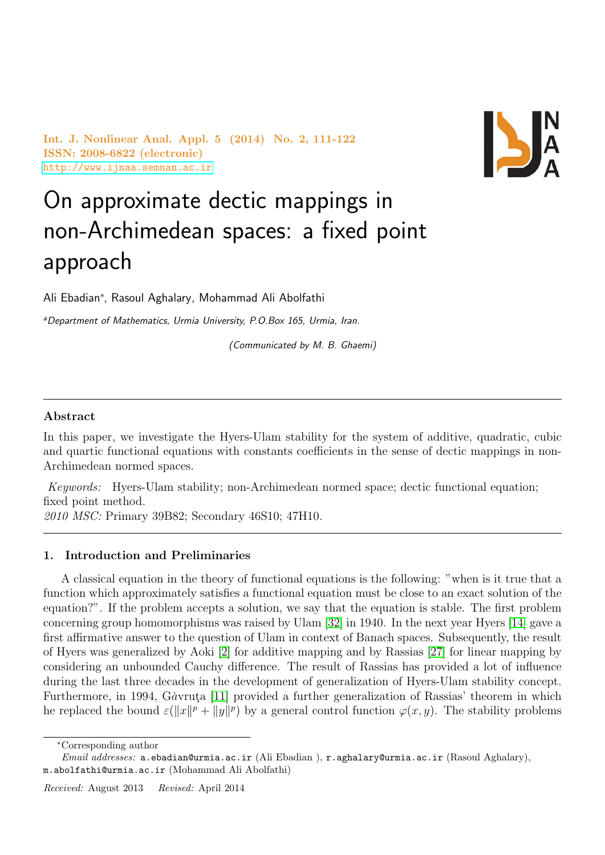Int. J. Nonlinear Anal. Appl. 5 (2014) No. 2, 111-122 ISSN: 2008-6822 (electronic) <http://www.ijnaa.semnan.ac.ir>



# On approximate dectic mappings in non-Archimedean spaces: a fixed point approach

Ali Ebadian<sup>∗</sup> , Rasoul Aghalary, Mohammad Ali Abolfathi

<sup>a</sup>Department of Mathematics, Urmia University, P.O.Box 165, Urmia, Iran.

(Communicated by M. B. Ghaemi)

### Abstract

In this paper, we investigate the Hyers-Ulam stability for the system of additive, quadratic, cubic and quartic functional equations with constants coefficients in the sense of dectic mappings in non-Archimedean normed spaces.

Keywords: Hyers-Ulam stability; non-Archimedean normed space; dectic functional equation; fixed point method.

2010 MSC: Primary 39B82; Secondary 46S10; 47H10.

## 1. Introduction and Preliminaries

A classical equation in the theory of functional equations is the following: "when is it true that a function which approximately satisfies a functional equation must be close to an exact solution of the equation?". If the problem accepts a solution, we say that the equation is stable. The first problem concerning group homomorphisms was raised by Ulam [\[32\]](#page-11-0) in 1940. In the next year Hyers [\[14\]](#page-11-1) gave a first affirmative answer to the question of Ulam in context of Banach spaces. Subsequently, the result of Hyers was generalized by Aoki [\[2\]](#page-10-0) for additive mapping and by Rassias [\[27\]](#page-11-2) for linear mapping by considering an unbounded Cauchy difference. The result of Rassias has provided a lot of influence during the last three decades in the development of generalization of Hyers-Ulam stability concept. Furthermore, in 1994, Găvruta [\[11\]](#page-11-3) provided a further generalization of Rassias' theorem in which he replaced the bound  $\varepsilon(\|x\|^p + \|y\|^p)$  by a general control function  $\varphi(x, y)$ . The stability problems

<sup>∗</sup>Corresponding author

Email addresses: a.ebadian@urmia.ac.ir (Ali Ebadian), r.aghalary@urmia.ac.ir (Rasoul Aghalary), m.abolfathi@urmia.ac.ir (Mohammad Ali Abolfathi)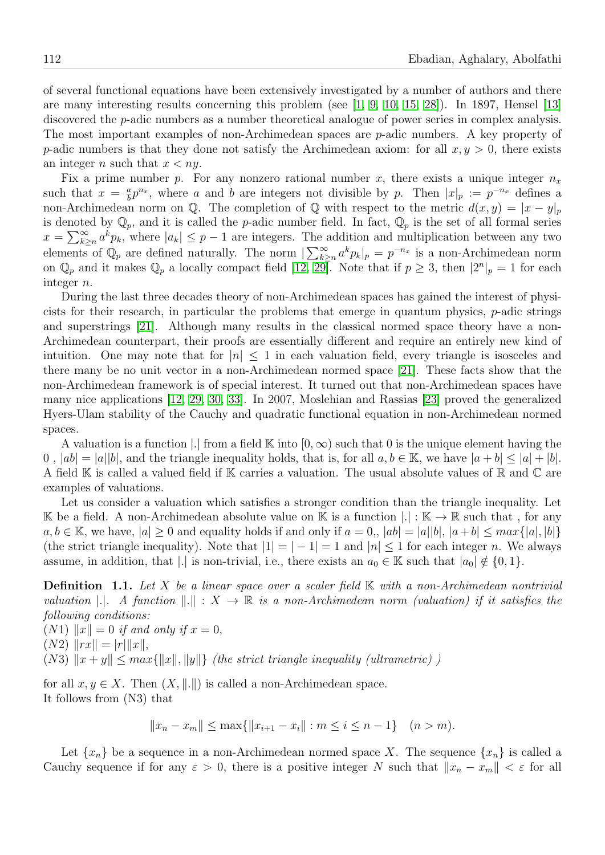of several functional equations have been extensively investigated by a number of authors and there are many interesting results concerning this problem (see [\[1,](#page-10-1) [9,](#page-11-4) [10,](#page-11-5) [15,](#page-11-6) [28\]](#page-11-7)). In 1897, Hensel [\[13\]](#page-11-8) discovered the *p*-adic numbers as a number theoretical analogue of power series in complex analysis. The most important examples of non-Archimedean spaces are p-adic numbers. A key property of p-adic numbers is that they done not satisfy the Archimedean axiom: for all  $x, y > 0$ , there exists an integer n such that  $x < ny$ .

Fix a prime number p. For any nonzero rational number x, there exists a unique integer  $n_x$ such that  $x = \frac{a}{b}$  $\frac{a}{b}p^{n_x}$ , where a and b are integers not divisible by p. Then  $|x|_p := p^{-n_x}$  defines a non-Archimedean norm on Q. The completion of Q with respect to the metric  $d(x, y) = |x - y|_p$ is denoted by  $\mathbb{Q}_p$ , and it is called the p-adic number field. In fact,  $\mathbb{Q}_p$  is the set of all formal series  $x = \sum_{k=1}^{\infty} a^k p_k$ , where  $|a_k| \leq p-1$  are integers. The addition and multiplication between any two elements of  $\mathbb{Q}_p$  are defined naturally. The norm  $\sum_{k\geq n}^{\infty} a^k p_k |_{p} = p^{-n_x}$  is a non-Archimedean norm on  $\mathbb{Q}_p$  and it makes  $\mathbb{Q}_p$  a locally compact field  $[12, 29]$  $[12, 29]$ . Note that if  $p \geq 3$ , then  $|2^n|_p = 1$  for each integer n.

During the last three decades theory of non-Archimedean spaces has gained the interest of physicists for their research, in particular the problems that emerge in quantum physics,  $p$ -adic strings and superstrings [\[21\]](#page-11-11). Although many results in the classical normed space theory have a non-Archimedean counterpart, their proofs are essentially different and require an entirely new kind of intuition. One may note that for  $|n| \leq 1$  in each valuation field, every triangle is isosceles and there many be no unit vector in a non-Archimedean normed space [\[21\]](#page-11-11). These facts show that the non-Archimedean framework is of special interest. It turned out that non-Archimedean spaces have many nice applications [\[12,](#page-11-9) [29,](#page-11-10) [30,](#page-11-12) [33\]](#page-11-13). In 2007, Moslehian and Rassias [\[23\]](#page-11-14) proved the generalized Hyers-Ulam stability of the Cauchy and quadratic functional equation in non-Archimedean normed spaces.

A valuation is a function |. from a field K into  $[0, \infty)$  such that 0 is the unique element having the 0,  $|ab| = |a||b|$ , and the triangle inequality holds, that is, for all  $a, b \in \mathbb{K}$ , we have  $|a + b| \leq |a| + |b|$ . A field K is called a valued field if K carries a valuation. The usual absolute values of R and C are examples of valuations.

Let us consider a valuation which satisfies a stronger condition than the triangle inequality. Let K be a field. A non-Archimedean absolute value on K is a function  $|.| : K \to \mathbb{R}$  such that, for any  $a, b \in \mathbb{K}$ , we have,  $|a| > 0$  and equality holds if and only if  $a = 0$ ,  $|ab| = |a||b|$ ,  $|a+b| \leq max\{|a|, |b|\}$ (the strict triangle inequality). Note that  $|1| = |-1| = 1$  and  $|n| \leq 1$  for each integer n. We always assume, in addition, that |.| is non-trivial, i.e., there exists an  $a_0 \in \mathbb{K}$  such that  $|a_0| \notin \{0, 1\}$ .

**Definition** 1.1. Let X be a linear space over a scaler field  $\mathbb{K}$  with a non-Archimedean nontrivial valuation  $\|.\|$ . A function  $\|.\|: X \to \mathbb{R}$  is a non-Archimedean norm (valuation) if it satisfies the following conditions:

 $(N1)$   $||x|| = 0$  if and only if  $x = 0$ ,  $(N2)$   $\|rx\| = |r| \|x\|,$ (N3)  $||x + y|| \leq max{||x||, ||y||}$  (the strict triangle inequality (ultrametric))

for all  $x, y \in X$ . Then  $(X, \| \|)$  is called a non-Archimedean space. It follows from (N3) that

$$
||x_n - x_m|| \le \max\{||x_{i+1} - x_i|| : m \le i \le n-1\} \quad (n > m).
$$

Let  $\{x_n\}$  be a sequence in a non-Archimedean normed space X. The sequence  $\{x_n\}$  is called a Cauchy sequence if for any  $\varepsilon > 0$ , there is a positive integer N such that  $||x_n - x_m|| < \varepsilon$  for all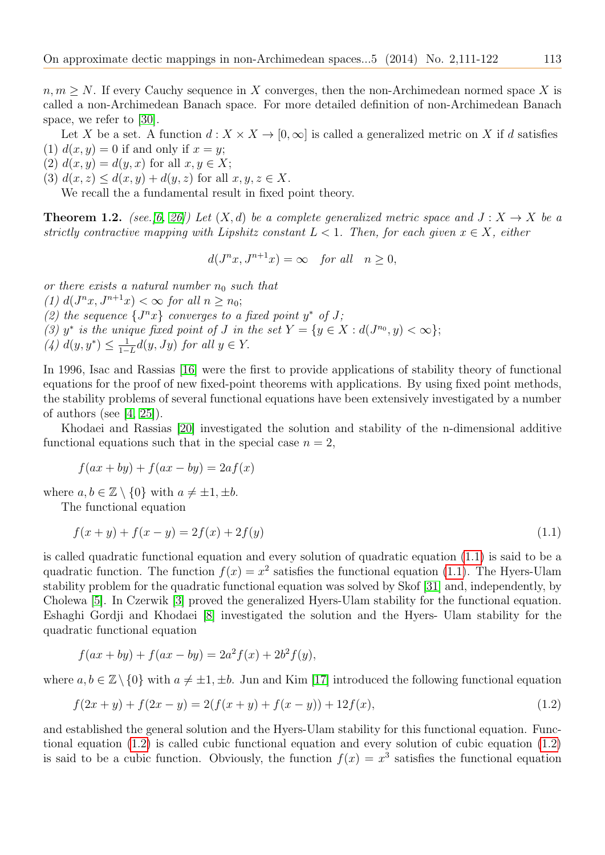$n, m \geq N$ . If every Cauchy sequence in X converges, then the non-Archimedean normed space X is called a non-Archimedean Banach space. For more detailed definition of non-Archimedean Banach space, we refer to [\[30\]](#page-11-12).

Let X be a set. A function  $d: X \times X \to [0,\infty]$  is called a generalized metric on X if d satisfies (1)  $d(x, y) = 0$  if and only if  $x = y$ ;

- (2)  $d(x, y) = d(y, x)$  for all  $x, y \in X$ ;
- (3)  $d(x, z) \leq d(x, y) + d(y, z)$  for all  $x, y, z \in X$ .

We recall the a fundamental result in fixed point theory.

**Theorem 1.2.** (see.[\[6,](#page-10-2) [26\]](#page-11-15)) Let  $(X, d)$  be a complete generalized metric space and  $J: X \to X$  be a strictly contractive mapping with Lipshitz constant  $L < 1$ . Then, for each given  $x \in X$ , either

$$
d(J^n x, J^{n+1} x) = \infty \quad \text{for all} \quad n \ge 0,
$$

or there exists a natural number  $n_0$  such that

(1)  $d(J^n x, J^{n+1} x) < \infty$  for all  $n \ge n_0$ ;

(2) the sequence  $\{J^n x\}$  converges to a fixed point  $y^*$  of J;

- (3) y<sup>\*</sup> is the unique fixed point of J in the set  $Y = \{y \in X : d(J^{n_0}, y) < \infty\};$
- $(4) d(y, y^*) \leq \frac{1}{1-}$  $\frac{1}{1-L}d(y, Jy)$  for all  $y \in Y$ .

In 1996, Isac and Rassias [\[16\]](#page-11-16) were the first to provide applications of stability theory of functional equations for the proof of new fixed-point theorems with applications. By using fixed point methods, the stability problems of several functional equations have been extensively investigated by a number of authors (see  $[4, 25]$  $[4, 25]$ ).

Khodaei and Rassias [\[20\]](#page-11-18) investigated the solution and stability of the n-dimensional additive functional equations such that in the special case  $n = 2$ ,

$$
f(ax + by) + f(ax - by) = 2af(x)
$$

where  $a, b \in \mathbb{Z} \setminus \{0\}$  with  $a \neq \pm 1, \pm b$ .

The functional equation

<span id="page-2-0"></span>
$$
f(x+y) + f(x-y) = 2f(x) + 2f(y)
$$
\n(1.1)

is called quadratic functional equation and every solution of quadratic equation [\(1.1\)](#page-2-0) is said to be a quadratic function. The function  $f(x) = x^2$  satisfies the functional equation [\(1.1\)](#page-2-0). The Hyers-Ulam stability problem for the quadratic functional equation was solved by Skof [\[31\]](#page-11-19) and, independently, by Cholewa [\[5\]](#page-10-4). In Czerwik [\[3\]](#page-10-5) proved the generalized Hyers-Ulam stability for the functional equation. Eshaghi Gordji and Khodaei [\[8\]](#page-11-20) investigated the solution and the Hyers- Ulam stability for the quadratic functional equation

$$
f(ax + by) + f(ax - by) = 2a^2 f(x) + 2b^2 f(y),
$$

where  $a, b \in \mathbb{Z} \setminus \{0\}$  with  $a \neq \pm 1, \pm b$ . Jun and Kim [\[17\]](#page-11-21) introduced the following functional equation

<span id="page-2-1"></span>
$$
f(2x + y) + f(2x - y) = 2(f(x + y) + f(x - y)) + 12f(x),
$$
\n(1.2)

and established the general solution and the Hyers-Ulam stability for this functional equation. Functional equation [\(1.2\)](#page-2-1) is called cubic functional equation and every solution of cubic equation [\(1.2\)](#page-2-1) is said to be a cubic function. Obviously, the function  $f(x) = x^3$  satisfies the functional equation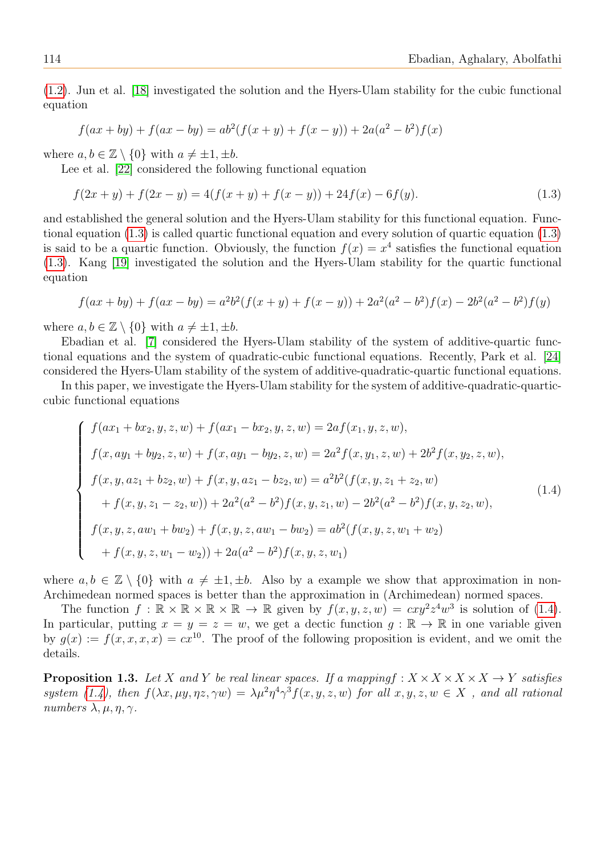[\(1.2\)](#page-2-1). Jun et al. [\[18\]](#page-11-22) investigated the solution and the Hyers-Ulam stability for the cubic functional equation

$$
f(ax + by) + f(ax - by) = ab^{2}(f(x + y) + f(x - y)) + 2a(a^{2} - b^{2})f(x)
$$

where  $a, b \in \mathbb{Z} \setminus \{0\}$  with  $a \neq \pm 1, \pm b$ .

Lee et al. [\[22\]](#page-11-23) considered the following functional equation

<span id="page-3-0"></span>
$$
f(2x + y) + f(2x - y) = 4(f(x + y) + f(x - y)) + 24f(x) - 6f(y).
$$
\n(1.3)

and established the general solution and the Hyers-Ulam stability for this functional equation. Functional equation [\(1.3\)](#page-3-0) is called quartic functional equation and every solution of quartic equation [\(1.3\)](#page-3-0) is said to be a quartic function. Obviously, the function  $f(x) = x^4$  satisfies the functional equation [\(1.3\)](#page-3-0). Kang [\[19\]](#page-11-24) investigated the solution and the Hyers-Ulam stability for the quartic functional equation

$$
f(ax + by) + f(ax - by) = a2b2(f(x + y) + f(x - y)) + 2a2(a2 – b2)f(x) – 2b2(a2 – b2)f(y)
$$

where  $a, b \in \mathbb{Z} \setminus \{0\}$  with  $a \neq \pm 1, \pm b$ .

Ebadian et al. [\[7\]](#page-11-25) considered the Hyers-Ulam stability of the system of additive-quartic functional equations and the system of quadratic-cubic functional equations. Recently, Park et al. [\[24\]](#page-11-26) considered the Hyers-Ulam stability of the system of additive-quadratic-quartic functional equations.

In this paper, we investigate the Hyers-Ulam stability for the system of additive-quadratic-quarticcubic functional equations

<span id="page-3-1"></span>
$$
\begin{cases}\nf(ax_1 + bx_2, y, z, w) + f(ax_1 - bx_2, y, z, w) = 2af(x_1, y, z, w), \\
f(x, ay_1 + by_2, z, w) + f(x, ay_1 - by_2, z, w) = 2a^2 f(x, y_1, z, w) + 2b^2 f(x, y_2, z, w), \\
f(x, y, az_1 + bz_2, w) + f(x, y, az_1 - bz_2, w) = a^2 b^2 (f(x, y, z_1 + z_2, w) \\
&+ f(x, y, z_1 - z_2, w)) + 2a^2 (a^2 - b^2) f(x, y, z_1, w) - 2b^2 (a^2 - b^2) f(x, y, z_2, w), \\
f(x, y, z, aw_1 + bw_2) + f(x, y, z, aw_1 - bw_2) = ab^2 (f(x, y, z, w_1 + w_2) \\
&+ f(x, y, z, w_1 - w_2)) + 2a(a^2 - b^2) f(x, y, z, w_1)\n\end{cases}
$$
\n(1.4)

where  $a, b \in \mathbb{Z} \setminus \{0\}$  with  $a \neq \pm 1, \pm b$ . Also by a example we show that approximation in non-Archimedean normed spaces is better than the approximation in (Archimedean) normed spaces.

The function  $f : \mathbb{R} \times \mathbb{R} \times \mathbb{R} \times \mathbb{R} \to \mathbb{R}$  given by  $f(x, y, z, w) = cxy^2z^4w^3$  is solution of [\(1.4\)](#page-3-1). In particular, putting  $x = y = z = w$ , we get a dectic function  $g : \mathbb{R} \to \mathbb{R}$  in one variable given by  $g(x) := f(x, x, x, x) = cx^{10}$ . The proof of the following proposition is evident, and we omit the details.

**Proposition 1.3.** Let X and Y be real linear spaces. If a mappingf :  $X \times X \times X \times X \rightarrow Y$  satisfies system [\(1.4\)](#page-3-1), then  $f(\lambda x, \mu y, \eta z, \gamma w) = \lambda \mu^2 \eta^4 \gamma^3 f(x, y, z, w)$  for all  $x, y, z, w \in X$ , and all rational numbers  $\lambda, \mu, \eta, \gamma$ .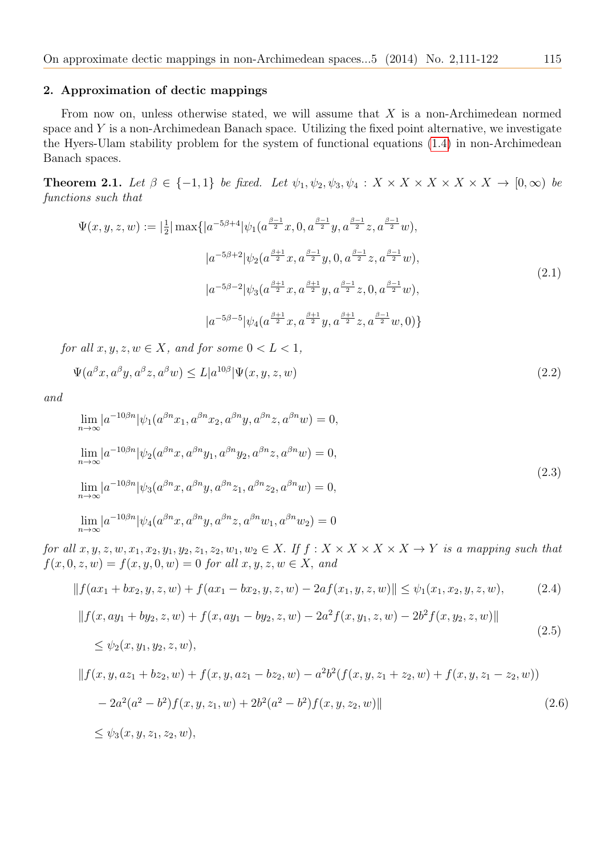#### 2. Approximation of dectic mappings

From now on, unless otherwise stated, we will assume that  $X$  is a non-Archimedean normed space and  $Y$  is a non-Archimedean Banach space. Utilizing the fixed point alternative, we investigate the Hyers-Ulam stability problem for the system of functional equations [\(1.4\)](#page-3-1) in non-Archimedean Banach spaces.

**Theorem 2.1.** Let  $\beta \in \{-1, 1\}$  be fixed. Let  $\psi_1, \psi_2, \psi_3, \psi_4 : X \times X \times X \times X \times X \rightarrow [0, \infty)$  be functions such that

$$
\Psi(x, y, z, w) := \left| \frac{1}{2} \right| \max \{ |a^{-5\beta + 4}| \psi_1(a^{\frac{\beta - 1}{2}} x, 0, a^{\frac{\beta - 1}{2}} y, a^{\frac{\beta - 1}{2}} z, a^{\frac{\beta - 1}{2}} w),
$$
  

$$
|a^{-5\beta + 2}| \psi_2(a^{\frac{\beta + 1}{2}} x, a^{\frac{\beta - 1}{2}} y, 0, a^{\frac{\beta - 1}{2}} z, a^{\frac{\beta - 1}{2}} w),
$$
  

$$
|a^{-5\beta - 2}| \psi_3(a^{\frac{\beta + 1}{2}} x, a^{\frac{\beta + 1}{2}} y, a^{\frac{\beta - 1}{2}} z, 0, a^{\frac{\beta - 1}{2}} w),
$$
  

$$
|a^{-5\beta - 5}| \psi_4(a^{\frac{\beta + 1}{2}} x, a^{\frac{\beta + 1}{2}} y, a^{\frac{\beta + 1}{2}} z, a^{\frac{\beta - 1}{2}} w, 0) \}
$$
\n(2.1)

for all  $x, y, z, w \in X$ , and for some  $0 < L < 1$ ,

$$
\Psi(a^{\beta}x, a^{\beta}y, a^{\beta}z, a^{\beta}w) \le L|a^{10\beta}|\Psi(x, y, z, w)
$$
\n(2.2)

and

<span id="page-4-3"></span>
$$
\lim_{n \to \infty} |a^{-10\beta n}| \psi_1(a^{\beta n} x_1, a^{\beta n} x_2, a^{\beta n} y, a^{\beta n} z, a^{\beta n} w) = 0,\n\lim_{n \to \infty} |a^{-10\beta n}| \psi_2(a^{\beta n} x, a^{\beta n} y_1, a^{\beta n} y_2, a^{\beta n} z, a^{\beta n} w) = 0,\n\lim_{n \to \infty} |a^{-10\beta n}| \psi_3(a^{\beta n} x, a^{\beta n} y, a^{\beta n} z_1, a^{\beta n} z_2, a^{\beta n} w) = 0,\n\lim_{n \to \infty} |a^{-10\beta n}| \psi_4(a^{\beta n} x, a^{\beta n} y, a^{\beta n} z, a^{\beta n} w_1, a^{\beta n} w_2) = 0
$$
\n(2.3)

for all  $x, y, z, w, x_1, x_2, y_1, y_2, z_1, z_2, w_1, w_2 \in X$ . If  $f : X \times X \times X \times X \times Y$  is a mapping such that  $f(x, 0, z, w) = f(x, y, 0, w) = 0$  for all  $x, y, z, w \in X$ , and

<span id="page-4-1"></span><span id="page-4-0"></span>
$$
||f(ax_1 + bx_2, y, z, w) + f(ax_1 - bx_2, y, z, w) - 2af(x_1, y, z, w)|| \le \psi_1(x_1, x_2, y, z, w),
$$
(2.4)  

$$
||f(x, ay_1 + by_2, z, w) + f(x, ay_1 - by_2, z, w) - 2a^2 f(x, y_1, z, w) - 2b^2 f(x, y_2, z, w)||
$$
  

$$
\le \psi_2(x, y_1, y_2, z, w),
$$
  

$$
||f(x, y, az_1 + bz_2, w) + f(x, y, az_1 - bz_2, w) - a^2 b^2 (f(x, y, z_1 + z_2, w) + f(x, y, z_1 - z_2, w))
$$
(2.5)

<span id="page-4-2"></span>
$$
-2a^2(a^2 - b^2)f(x, y, z_1, w) + 2b^2(a^2 - b^2)f(x, y, z_2, w)
$$
\n
$$
(2.6)
$$

$$
\leq \psi_3(x, y, z_1, z_2, w),
$$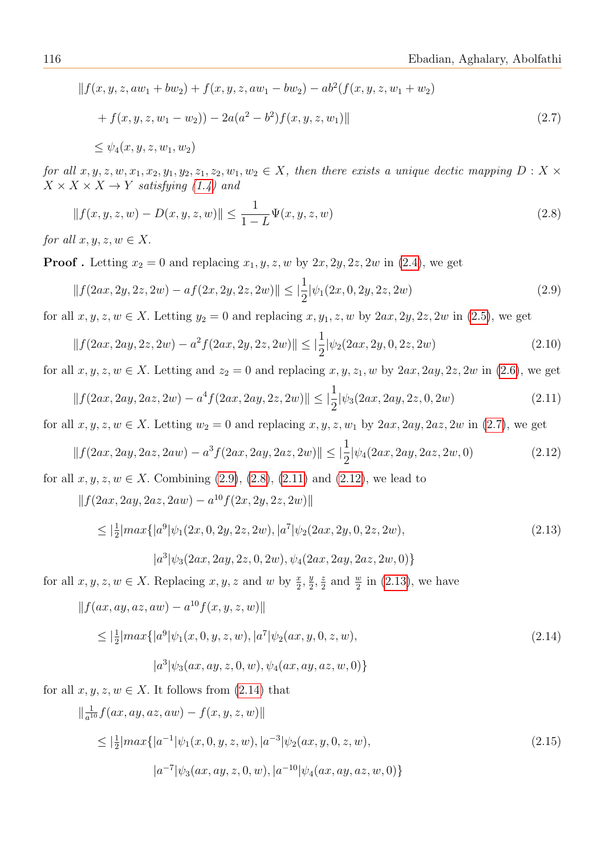<span id="page-5-0"></span>
$$
|| f(x, y, z, aw_1 + bw_2) + f(x, y, z, aw_1 - bw_2) - ab^2(f(x, y, z, w_1 + w_2)
$$
  
+  $f(x, y, z, w_1 - w_2)) - 2a(a^2 - b^2) f(x, y, z, w_1) ||$  (2.7)  
 $\leq \psi_4(x, y, z, w_1, w_2)$ 

for all  $x, y, z, w, x_1, x_2, y_1, y_2, z_1, z_2, w_1, w_2 \in X$ , then there exists a unique dectic mapping  $D: X \times$  $X \times X \times X \rightarrow Y$  satisfying [\(1.4\)](#page-3-1) and

<span id="page-5-2"></span>
$$
|| f(x, y, z, w) - D(x, y, z, w)|| \le \frac{1}{1 - L} \Psi(x, y, z, w)
$$
\n(2.8)

for all  $x, y, z, w \in X$ .

**Proof**. Letting  $x_2 = 0$  and replacing  $x_1, y, z, w$  by  $2x, 2y, 2z, 2w$  in [\(2.4\)](#page-4-0), we get

<span id="page-5-1"></span>
$$
||f(2ax, 2y, 2z, 2w) - af(2x, 2y, 2z, 2w)|| \le |\frac{1}{2}|\psi_1(2x, 0, 2y, 2z, 2w)|
$$
\n(2.9)

for all  $x, y, z, w \in X$ . Letting  $y_2 = 0$  and replacing  $x, y_1, z, w$  by  $2ax, 2y, 2z, 2w$  in [\(2.5\)](#page-4-1), we get

$$
||f(2ax, 2ay, 2z, 2w) - a^2 f(2ax, 2y, 2z, 2w)|| \le |\frac{1}{2}|\psi_2(2ax, 2y, 0, 2z, 2w)|
$$
\n(2.10)

for all  $x, y, z, w \in X$ . Letting and  $z_2 = 0$  and replacing  $x, y, z_1, w$  by  $2ax, 2ay, 2z, 2w$  in [\(2.6\)](#page-4-2), we get

<span id="page-5-3"></span>
$$
||f(2ax, 2ay, 2az, 2w) - a^4 f(2ax, 2ay, 2z, 2w)|| \le |\frac{1}{2}|\psi_3(2ax, 2ay, 2z, 0, 2w)|
$$
\n(2.11)

for all  $x, y, z, w \in X$ . Letting  $w_2 = 0$  and replacing  $x, y, z, w_1$  by  $2ax, 2ay, 2az, 2w$  in [\(2.7\)](#page-5-0), we get

<span id="page-5-4"></span>
$$
||f(2ax, 2ay, 2az, 2aw) - a^3 f(2ax, 2ay, 2az, 2w)|| \le |\frac{1}{2}|\psi_4(2ax, 2ay, 2az, 2w, 0)
$$
\n(2.12)

for all  $x, y, z, w \in X$ . Combining  $(2.9), (2.8), (2.11)$  $(2.9), (2.8), (2.11)$  $(2.9), (2.8), (2.11)$  $(2.9), (2.8), (2.11)$  $(2.9), (2.8), (2.11)$  and  $(2.12)$ , we lead to

 $|| f(2ax, 2ay, 2az, 2aw) - a^{10} f(2x, 2y, 2z, 2w)||$ 

<span id="page-5-5"></span>
$$
\leq |\frac{1}{2}| max\{|a^{9}|\psi_1(2x, 0, 2y, 2z, 2w), |a^{7}|\psi_2(2ax, 2y, 0, 2z, 2w), |a^{3}|\psi_3(2ax, 2ay, 2z, 0, 2w), \psi_4(2ax, 2ay, 2az, 2w, 0)\}
$$
\n(2.13)

for all  $x, y, z, w \in X$ . Replacing  $x, y, z$  and w by  $\frac{x}{2}, \frac{y}{2}$  $\frac{y}{2}, \frac{z}{2}$  $\frac{z}{2}$  and  $\frac{w}{2}$  in [\(2.13\)](#page-5-5), we have

$$
||f(ax, ay, az, aw) - a10f(x, y, z, w)||
$$

<span id="page-5-6"></span>
$$
\leq |\frac{1}{2}| max\{|a^{9}|\psi_1(x, 0, y, z, w), |a^{7}|\psi_2(ax, y, 0, z, w),
$$
\n
$$
|a^{3}|\psi_3(ax, ay, z, 0, w), \psi_4(ax, ay, az, w, 0)\}
$$
\n(2.14)

for all  $x, y, z, w \in X$ . It follows from  $(2.14)$  that

<span id="page-5-7"></span>
$$
\|\frac{1}{a^{10}}f(ax, ay, az, aw) - f(x, y, z, w)\|
$$
  
\n
$$
\leq |\frac{1}{2}|max\{|a^{-1}|\psi_1(x, 0, y, z, w), |a^{-3}|\psi_2(ax, y, 0, z, w),
$$
  
\n
$$
|a^{-7}|\psi_3(ax, ay, z, 0, w), |a^{-10}|\psi_4(ax, ay, az, w, 0)\}
$$
\n(2.15)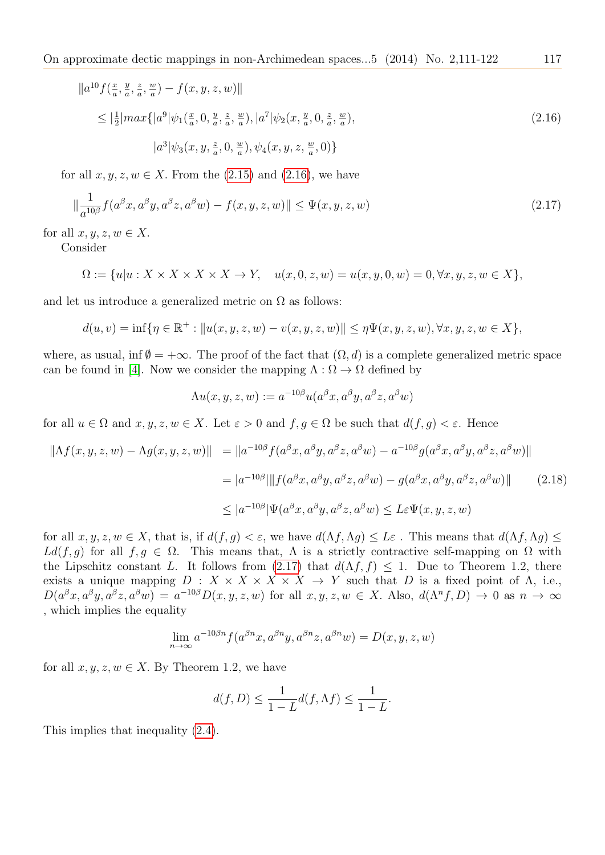<span id="page-6-0"></span>
$$
||a^{10} f(\frac{x}{a}, \frac{y}{a}, \frac{z}{a}, \frac{w}{a}) - f(x, y, z, w)||
$$
  
\n
$$
\leq |\frac{1}{2}| max\{|a^{9}|\psi_1(\frac{x}{a}, 0, \frac{y}{a}, \frac{z}{a}, \frac{w}{a}), |a^{7}|\psi_2(x, \frac{y}{a}, 0, \frac{z}{a}, \frac{w}{a}),
$$
  
\n
$$
|a^{3}|\psi_3(x, y, \frac{z}{a}, 0, \frac{w}{a}), \psi_4(x, y, z, \frac{w}{a}, 0)\}
$$
\n(2.16)

for all  $x, y, z, w \in X$ . From the [\(2.15\)](#page-5-7) and [\(2.16\)](#page-6-0), we have

<span id="page-6-1"></span>
$$
\|\frac{1}{a^{10\beta}}f(a^{\beta}x, a^{\beta}y, a^{\beta}z, a^{\beta}w) - f(x, y, z, w)\| \le \Psi(x, y, z, w)
$$
\n(2.17)

for all  $x, y, z, w \in X$ .

Consider

$$
\Omega:=\{u|u:X\times X\times X\times X\to Y,\quad u(x,0,z,w)=u(x,y,0,w)=0,\forall x,y,z,w\in X\},
$$

and let us introduce a generalized metric on  $\Omega$  as follows:

$$
d(u, v) = \inf \{ \eta \in \mathbb{R}^+ : ||u(x, y, z, w) - v(x, y, z, w)|| \leq \eta \Psi(x, y, z, w), \forall x, y, z, w \in X \},
$$

where, as usual, inf  $\emptyset = +\infty$ . The proof of the fact that  $(\Omega, d)$  is a complete generalized metric space can be found in [\[4\]](#page-10-3). Now we consider the mapping  $\Lambda : \Omega \to \Omega$  defined by

$$
\Lambda u(x,y,z,w):=a^{-10\beta}u(a^\beta x,a^\beta y,a^\beta z,a^\beta w)
$$

for all  $u \in \Omega$  and  $x, y, z, w \in X$ . Let  $\varepsilon > 0$  and  $f, g \in \Omega$  be such that  $d(f, g) < \varepsilon$ . Hence

$$
\| \Lambda f(x, y, z, w) - \Lambda g(x, y, z, w) \| = \| a^{-10\beta} f(a^{\beta} x, a^{\beta} y, a^{\beta} z, a^{\beta} w) - a^{-10\beta} g(a^{\beta} x, a^{\beta} y, a^{\beta} z, a^{\beta} w) \|
$$
  

$$
= |a^{-10\beta}| \| f(a^{\beta} x, a^{\beta} y, a^{\beta} z, a^{\beta} w) - g(a^{\beta} x, a^{\beta} y, a^{\beta} z, a^{\beta} w) \|
$$
(2.18)  

$$
\leq |a^{-10\beta}| \Psi(a^{\beta} x, a^{\beta} y, a^{\beta} z, a^{\beta} w) \leq L \varepsilon \Psi(x, y, z, w)
$$

for all  $x, y, z, w \in X$ , that is, if  $d(f, g) < \varepsilon$ , we have  $d(\Lambda f, \Lambda g) \leq L\varepsilon$ . This means that  $d(\Lambda f, \Lambda g) \leq$  $Ldf, g$  for all  $f, g \in \Omega$ . This means that,  $\Lambda$  is a strictly contractive self-mapping on  $\Omega$  with the Lipschitz constant L. It follows from [\(2.17\)](#page-6-1) that  $d(\Lambda f, f) \leq 1$ . Due to Theorem 1.2, there exists a unique mapping  $D: X \times X \times X \times X \to Y$  such that D is a fixed point of  $\Lambda$ , i.e.,  $D(a^{\beta}x, a^{\beta}y, a^{\beta}z, a^{\beta}w) = a^{-10\beta}D(x, y, z, w)$  for all  $x, y, z, w \in X$ . Also,  $d(\Lambda^n f, D) \to 0$  as  $n \to \infty$ , which implies the equality

$$
\lim_{n \to \infty} a^{-10\beta n} f(a^{\beta n} x, a^{\beta n} y, a^{\beta n} z, a^{\beta n} w) = D(x, y, z, w)
$$

for all  $x, y, z, w \in X$ . By Theorem 1.2, we have

$$
d(f, D) \le \frac{1}{1 - L} d(f, \Lambda f) \le \frac{1}{1 - L}.
$$

This implies that inequality [\(2.4\)](#page-4-0).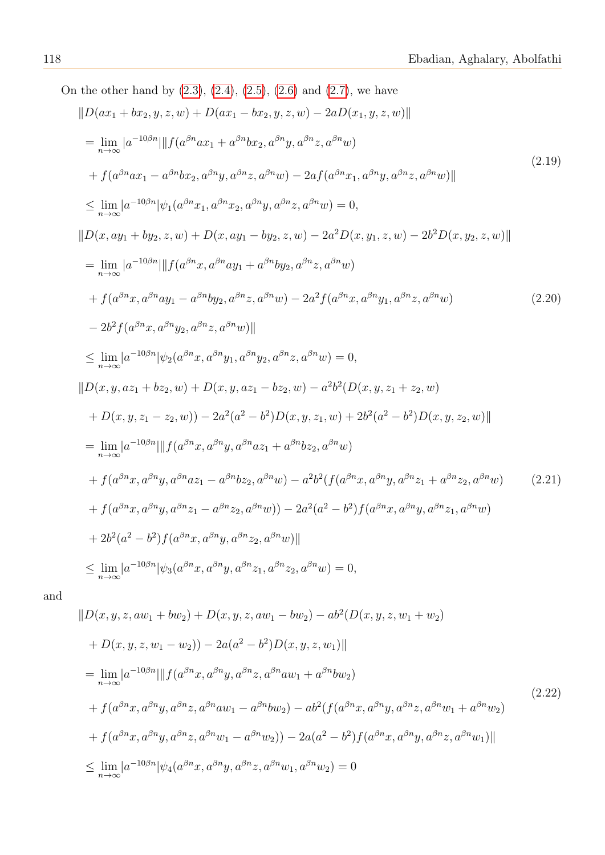On the other hand by  $(2.3)$ ,  $(2.4)$ ,  $(2.5)$ ,  $(2.6)$  and  $(2.7)$ , we have  $||D(ax_1 + bx_2, y, z, w) + D(ax_1 - bx_2, y, z, w) - 2aD(x_1, y, z, w)||$ 

<span id="page-7-1"></span><span id="page-7-0"></span>
$$
= \lim_{n \to \infty} |a^{-10\beta n}| ||f(a^{\beta n}ax_1 + a^{\beta n}bx_2, a^{\beta n}y, a^{\beta n}z, a^{\beta n}w)
$$
\n
$$
+ f(a^{\beta n}ax_1 - a^{\beta n}bx_2, a^{\beta n}y, a^{\beta n}z, a^{\beta n}w) - 2af(a^{\beta n}x_1, a^{\beta n}y, a^{\beta n}z, a^{\beta n}w)||
$$
\n
$$
\leq \lim_{n \to \infty} |a^{-10\beta n}| \psi_1(a^{\beta n}x_1, a^{\beta n}x_2, a^{\beta n}y, a^{\beta n}z, a^{\beta n}w) = 0,
$$
\n
$$
||D(x, ay_1 + by_2, z, w) + D(x, ay_1 - by_2, z, w) - 2a^2D(x, y_1, z, w) - 2b^2D(x, y_2, z, w)||
$$
\n
$$
= \lim_{n \to \infty} |a^{-10\beta n}| ||f(a^{\beta n}x, a^{\beta n}ay_1 + a^{\beta n}by_2, a^{\beta n}z, a^{\beta n}w)
$$
\n
$$
+ f(a^{\beta n}x, a^{\beta n}ay_1 - a^{\beta n}by_2, a^{\beta n}z, a^{\beta n}w) - 2a^2f(a^{\beta n}x, a^{\beta n}y_1, a^{\beta n}z, a^{\beta n}w)
$$
\n
$$
- 2b^2f(a^{\beta n}x, a^{\beta n}y_2, a^{\beta n}z, a^{\beta n}w) ||
$$
\n
$$
\leq \lim_{n \to \infty} |a^{-10\beta n}| |\psi_2(a^{\beta n}x, a^{\beta n}y_1, a^{\beta n}y_2, a^{\beta n}z, a^{\beta n}w) = 0,
$$
\n
$$
||D(x, y, az_1 + bz_2, w) + D(x, y, az_1 - bz_2, w) - a^2b^2(D(x, y, z_1 + z_2, w)
$$
\n
$$
+ D(x, y, z_1 - z_2, w)) - 2a^2(a^2 - b^2)D(x, y, z_1, w) + 2b^2(a^2 - b^2)D(x, y, z_2,
$$

<span id="page-7-2"></span>and

<span id="page-7-3"></span>
$$
||D(x, y, z, aw_1 + bw_2) + D(x, y, z, aw_1 - bw_2) - ab^2(D(x, y, z, w_1 + w_2) + D(x, y, z, w_1 - w_2)) - 2a(a^2 - b^2)D(x, y, z, w_1)||
$$
  
= 
$$
\lim_{n \to \infty} |a^{-10\beta n}| ||f(a^{\beta n}x, a^{\beta n}y, a^{\beta n}z, a^{\beta n}aw_1 + a^{\beta n}bw_2)
$$
  
+ 
$$
f(a^{\beta n}x, a^{\beta n}y, a^{\beta n}z, a^{\beta n}aw_1 - a^{\beta n}bw_2) - ab^2(f(a^{\beta n}x, a^{\beta n}y, a^{\beta n}z, a^{\beta n}w_1 + a^{\beta n}w_2)
$$
  
+ 
$$
f(a^{\beta n}x, a^{\beta n}y, a^{\beta n}z, a^{\beta n}w_1 - a^{\beta n}w_2)) - 2a(a^2 - b^2)f(a^{\beta n}x, a^{\beta n}y, a^{\beta n}z, a^{\beta n}w_1)||
$$
  

$$
\leq \lim_{n \to \infty} |a^{-10\beta n} |\psi_4(a^{\beta n}x, a^{\beta n}y, a^{\beta n}z, a^{\beta n}w_1, a^{\beta n}w_2) = 0
$$
 (2.22)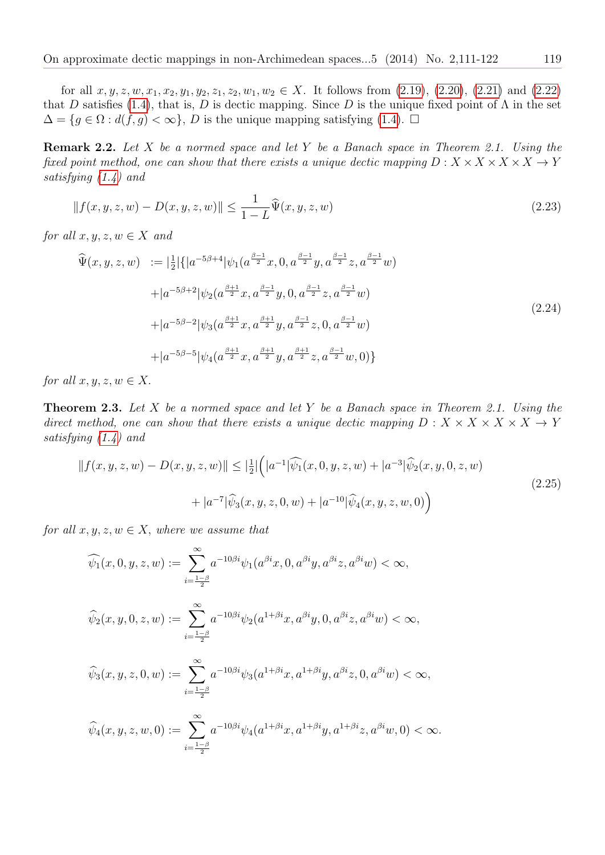for all  $x, y, z, w, x_1, x_2, y_1, y_2, z_1, z_2, w_1, w_2 \in X$ . It follows from  $(2.19)$ ,  $(2.20)$ ,  $(2.21)$  and  $(2.22)$ that D satisfies [\(1.4\)](#page-3-1), that is, D is dectic mapping. Since D is the unique fixed point of  $\Lambda$  in the set  $\Delta = \{g \in \Omega : d(f, g) < \infty\}, D$  is the unique mapping satisfying [\(1.4\)](#page-3-1).  $\Box$ 

Remark 2.2. Let X be a normed space and let Y be a Banach space in Theorem 2.1. Using the fixed point method, one can show that there exists a unique dectic mapping  $D: X \times X \times X \times X \rightarrow Y$ satisfying [\(1.4\)](#page-3-1) and

$$
||f(x, y, z, w) - D(x, y, z, w)|| \le \frac{1}{1 - L} \hat{\Psi}(x, y, z, w)
$$
\n(2.23)

for all  $x, y, z, w \in X$  and

$$
\begin{split}\n\widehat{\Psi}(x, y, z, w) &:= |\frac{1}{2}| \{ |a^{-5\beta+4} | \psi_1(a^{\frac{\beta-1}{2}} x, 0, a^{\frac{\beta-1}{2}} y, a^{\frac{\beta-1}{2}} z, a^{\frac{\beta-1}{2}} w) \\
&+ |a^{-5\beta+2} | \psi_2(a^{\frac{\beta+1}{2}} x, a^{\frac{\beta-1}{2}} y, 0, a^{\frac{\beta-1}{2}} z, a^{\frac{\beta-1}{2}} w) \\
&+ |a^{-5\beta-2} | \psi_3(a^{\frac{\beta+1}{2}} x, a^{\frac{\beta+1}{2}} y, a^{\frac{\beta-1}{2}} z, 0, a^{\frac{\beta-1}{2}} w) \\
&+ |a^{-5\beta-5} | \psi_4(a^{\frac{\beta+1}{2}} x, a^{\frac{\beta+1}{2}} y, a^{\frac{\beta+1}{2}} z, a^{\frac{\beta-1}{2}} w, 0) \}\n\end{split}
$$
\n(2.24)

for all  $x, y, z, w \in X$ .

**Theorem 2.3.** Let X be a normed space and let Y be a Banach space in Theorem 2.1. Using the direct method, one can show that there exists a unique dectic mapping  $D: X \times X \times X \times X \rightarrow Y$ satisfying [\(1.4\)](#page-3-1) and

$$
||f(x,y,z,w) - D(x,y,z,w)|| \leq \left|\frac{1}{2}\right| \left(|a^{-1}|\widehat{\psi_1}(x,0,y,z,w) + |a^{-3}|\widehat{\psi_2}(x,y,0,z,w) + |a^{-7}|\widehat{\psi_3}(x,y,z,0,w) + |a^{-10}|\widehat{\psi_4}(x,y,z,w,0)\right)
$$
\n(2.25)

for all  $x, y, z, w \in X$ , where we assume that

$$
\widehat{\psi}_1(x, 0, y, z, w) := \sum_{i=\frac{1-\beta}{2}}^{\infty} a^{-10\beta i} \psi_1(a^{\beta i}x, 0, a^{\beta i}y, a^{\beta i}z, a^{\beta i}w) < \infty,
$$
  

$$
\widehat{\psi}_2(x, y, 0, z, w) := \sum_{i=\frac{1-\beta}{2}}^{\infty} a^{-10\beta i} \psi_2(a^{1+\beta i}x, a^{\beta i}y, 0, a^{\beta i}z, a^{\beta i}w) < \infty,
$$
  

$$
\widehat{\psi}_3(x, y, z, 0, w) := \sum_{i=\frac{1-\beta}{2}}^{\infty} a^{-10\beta i} \psi_3(a^{1+\beta i}x, a^{1+\beta i}y, a^{\beta i}z, 0, a^{\beta i}w) < \infty,
$$
  

$$
\widehat{\psi}_4(x, y, z, w, 0) := \sum_{i=\frac{1-\beta}{2}}^{\infty} a^{-10\beta i} \psi_4(a^{1+\beta i}x, a^{1+\beta i}y, a^{1+\beta i}z, a^{\beta i}w, 0) < \infty.
$$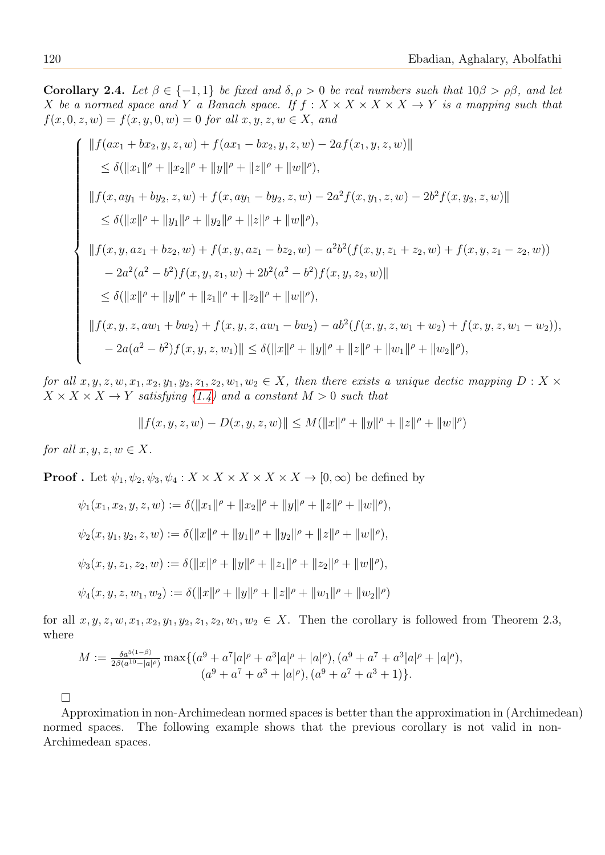Corollary 2.4. Let  $\beta \in \{-1,1\}$  be fixed and  $\delta, \rho > 0$  be real numbers such that  $10\beta > \rho\beta$ , and let X be a normed space and Y a Banach space. If  $f : X \times X \times X \times X \times Y$  is a mapping such that  $f(x, 0, z, w) = f(x, y, 0, w) = 0$  for all  $x, y, z, w \in X$ , and

$$
\left\{ \begin{aligned} &\|f(ax_1+bx_2,y,z,w)+f(ax_1-bx_2,y,z,w)-2af(x_1,y,z,w)\| \\ &\leq \delta(\|x_1\|^{\rho}+\|x_2\|^{\rho}+\|y\|^{\rho}+\|z\|^{\rho}+\|w\|^{\rho}), \\ &\|f(x,ay_1+by_2,z,w)+f(x,ay_1-by_2,z,w)-2a^2f(x,y_1,z,w)-2b^2f(x,y_2,z,w)\| \\ &\leq \delta(\|x\|^{\rho}+\|y_1\|^{\rho}+\|y_2\|^{\rho}+\|z\|^{\rho}+\|w\|^{\rho}), \\ &\|f(x,y,az_1+bz_2,w)+f(x,y,az_1-bz_2,w)-a^2b^2(f(x,y,z_1+z_2,w)+f(x,y,z_1-z_2,w)) \\ &-2a^2(a^2-b^2)f(x,y,z_1,w)+2b^2(a^2-b^2)f(x,y,z_2,w)\| \\ &\leq \delta(\|x\|^{\rho}+\|y\|^{\rho}+\|z_1\|^{\rho}+\|z_2\|^{\rho}+\|w\|^{\rho}), \\ &\|f(x,y,z,aw_1+bw_2)+f(x,y,z,aw_1-bw_2)-ab^2(f(x,y,z,w_1+w_2)+f(x,y,z,w_1-w_2)), \\ &-2a(a^2-b^2)f(x,y,z,w_1)\| \leq \delta(\|x\|^{\rho}+\|y\|^{\rho}+\|z\|^{\rho}+\|w\|^{\rho}) +\|w_1\|^{\rho}+\|w_2\|^{\rho}), \end{aligned} \right.
$$

for all  $x, y, z, w, x_1, x_2, y_1, y_2, z_1, z_2, w_1, w_2 \in X$ , then there exists a unique dectic mapping  $D: X \times$  $X \times X \times X \rightarrow Y$  satisfying [\(1.4\)](#page-3-1) and a constant  $M > 0$  such that

$$
|| f(x, y, z, w) - D(x, y, z, w)|| \leq M(||x||^{\rho} + ||y||^{\rho} + ||z||^{\rho} + ||w||^{\rho})
$$

for all  $x, y, z, w \in X$ .

**Proof** . Let  $\psi_1, \psi_2, \psi_3, \psi_4 : X \times X \times X \times X \times X \to [0, \infty)$  be defined by

$$
\psi_1(x_1, x_2, y, z, w) := \delta(||x_1||^{\rho} + ||x_2||^{\rho} + ||y||^{\rho} + ||z||^{\rho} + ||w||^{\rho}),
$$
  

$$
\psi_2(x, y_1, y_2, z, w) := \delta(||x||^{\rho} + ||y_1||^{\rho} + ||y_2||^{\rho} + ||z||^{\rho} + ||w||^{\rho}),
$$
  

$$
\psi_3(x, y, z_1, z_2, w) := \delta(||x||^{\rho} + ||y||^{\rho} + ||z_1||^{\rho} + ||z_2||^{\rho} + ||w||^{\rho}),
$$
  

$$
\psi_4(x, y, z, w_1, w_2) := \delta(||x||^{\rho} + ||y||^{\rho} + ||z||^{\rho} + ||w_1||^{\rho} + ||w_2||^{\rho})
$$

for all  $x, y, z, w, x_1, x_2, y_1, y_2, z_1, z_2, w_1, w_2 \in X$ . Then the corollary is followed from Theorem 2.3, where

$$
M := \frac{\delta a^{5(1-\beta)}}{2\beta(a^{10}-|a|^\rho)} \max\{(a^9 + a^7|a|^\rho + a^3|a|^\rho + |a|^\rho), (a^9 + a^7 + a^3|a|^\rho + |a|^\rho), (a^9 + a^7 + a^3 + 1)\}.
$$

 $\Box$ 

Approximation in non-Archimedean normed spaces is better than the approximation in (Archimedean) normed spaces. The following example shows that the previous corollary is not valid in non-Archimedean spaces.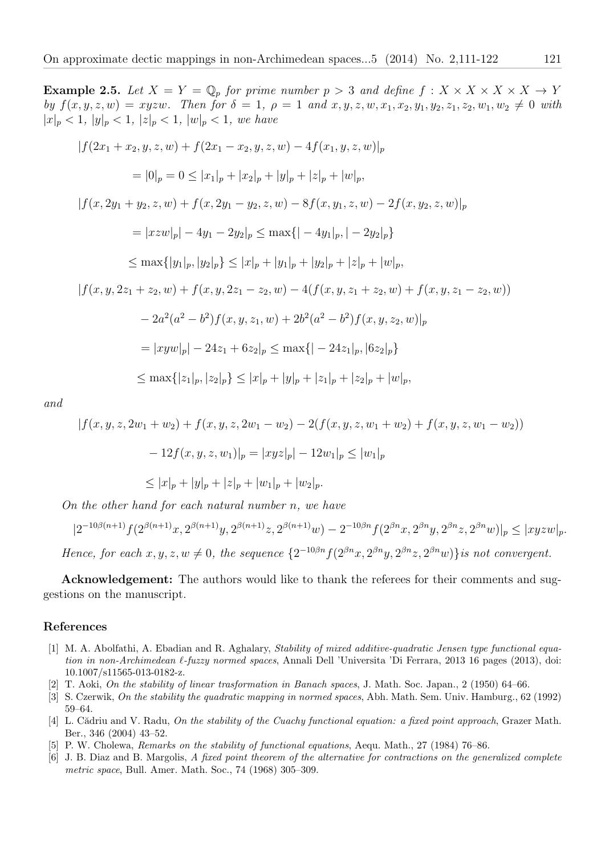**Example 2.5.** Let  $X = Y = \mathbb{Q}_p$  for prime number  $p > 3$  and define  $f: X \times X \times X \times X \rightarrow Y$ by  $f(x, y, z, w) = xyzw$ . Then for  $\delta = 1$ ,  $\rho = 1$  and  $x, y, z, w, x_1, x_2, y_1, y_2, z_1, z_2, w_1, w_2 \neq 0$  with  $|x|_p < 1, |y|_p < 1, |z|_p < 1, |w|_p < 1, we have$  $|f(2x_1+x_2, y, z, w) + f(2x_1-x_2, y, z, w) - 4f(x_1, y, z, w)|_p$  $= |0|_p = 0 \le |x_1|_p + |x_2|_p + |y|_p + |z|_p + |w|_p,$  $|f(x, 2y_1 + y_2, z, w) + f(x, 2y_1 - y_2, z, w) - 8f(x, y_1, z, w) - 2f(x, y_2, z, w)|_p$  $= |xzw|_p - 4y_1 - 2y_2|_p \le \max\{|x-y_1|_p, |y_2-y_2|_p\}$  $\leq$  max $\{|y_1|_p, |y_2|_p\}$   $\leq |x|_p + |y_1|_p + |y_2|_p + |z|_p + |w|_p$  $|f(x, y, 2z_1 + z_2, w) + f(x, y, 2z_1 - z_2, w) - 4(f(x, y, z_1 + z_2, w) + f(x, y, z_1 - z_2, w))|$  $-2a^2(a^2-b^2)f(x, y, z_1, w) + 2b^2(a^2-b^2)f(x, y, z_2, w)|_p$  $= |xyw|_p - 24z_1 + 6z_2|_p \le \max\{|x_1 - 24z_1|_p, |6z_2|_p\}$  $\leq$  max $\{|z_1|_p, |z_2|_p\} \leq |x|_p + |y|_p + |z_1|_p + |z_2|_p + |w|_p,$ 

and

$$
|f(x, y, z, 2w_1 + w_2) + f(x, y, z, 2w_1 - w_2) - 2(f(x, y, z, w_1 + w_2) + f(x, y, z, w_1 - w_2))
$$
  

$$
- 12f(x, y, z, w_1)|_p = |xyz|_p| - 12w_1|_p \le |w_1|_p
$$
  

$$
\le |x|_p + |y|_p + |z|_p + |w_1|_p + |w_2|_p.
$$

On the other hand for each natural number n, we have

$$
|2^{-10\beta(n+1)}f(2^{\beta(n+1)}x,2^{\beta(n+1)}y,2^{\beta(n+1)}z,2^{\beta(n+1)}w) - 2^{-10\beta n}f(2^{\beta n}x,2^{\beta n}y,2^{\beta n}z,2^{\beta n}w)|_p \leq |xyzw|_p.
$$

Hence, for each  $x, y, z, w \neq 0$ , the sequence  $\{2^{-10\beta n} f(2^{\beta n}x, 2^{\beta n}y, 2^{\beta n}z, 2^{\beta n}w)\}$  is not convergent.

Acknowledgement: The authors would like to thank the referees for their comments and suggestions on the manuscript.

#### References

- <span id="page-10-1"></span>[1] M. A. Abolfathi, A. Ebadian and R. Aghalary, Stability of mixed additive-quadratic Jensen type functional equation in non-Archimedean  $\ell$ -fuzzy normed spaces, Annali Dell 'Universita 'Di Ferrara, 2013 16 pages (2013), doi: 10.1007/s11565-013-0182-z.
- <span id="page-10-0"></span>[2] T. Aoki, On the stability of linear trasformation in Banach spaces, J. Math. Soc. Japan., 2 (1950) 64–66.
- <span id="page-10-5"></span>[3] S. Czerwik, On the stability the quadratic mapping in normed spaces, Abh. Math. Sem. Univ. Hamburg., 62 (1992) 59–64.
- <span id="page-10-3"></span>[4] L. Cădriu and V. Radu, On the stability of the Cuachy functional equation: a fixed point approach, Grazer Math. Ber., 346 (2004) 43–52.
- <span id="page-10-4"></span>[5] P. W. Cholewa, Remarks on the stability of functional equations, Aequ. Math., 27 (1984) 76–86.
- <span id="page-10-2"></span>[6] J. B. Diaz and B. Margolis, A fixed point theorem of the alternative for contractions on the generalized complete metric space, Bull. Amer. Math. Soc., 74 (1968) 305–309.